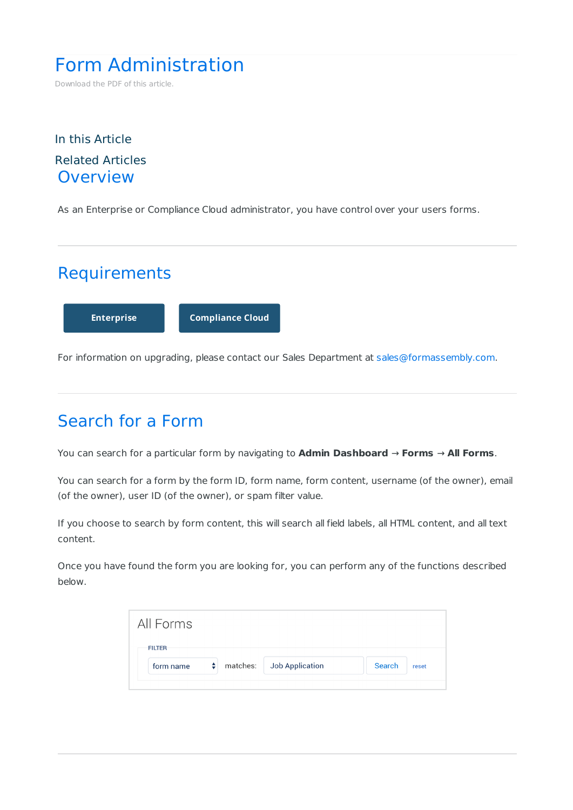# Form Administration

Download the PDF of this article.

#### In this Article Related Articles **Overview**

As an Enterprise or Compliance Cloud administrator, you have control over your users forms.

### **Requirements**

**Enterprise Compliance Cloud**

For information on upgrading, please contact our Sales Department at sales@formassembly.com.

## Search for a Form

You can search for a particular form by navigating to **Admin Dashboard** → **Forms** → **All Forms**.

You can search for a form by the form ID, form name, form content, username (of the owner), email (of the owner), user ID (of the owner), or spam filter value.

If you choose to search by form content, this will search all field labels, all HTML content, and all text content.

Once you have found the form you are looking for, you can perform any of the functions described below.

| <b>FILTER</b>                       |                          |        |       |
|-------------------------------------|--------------------------|--------|-------|
|                                     |                          |        |       |
| $\left  \cdot \right $<br>form name | matches: Job Application | Search | reset |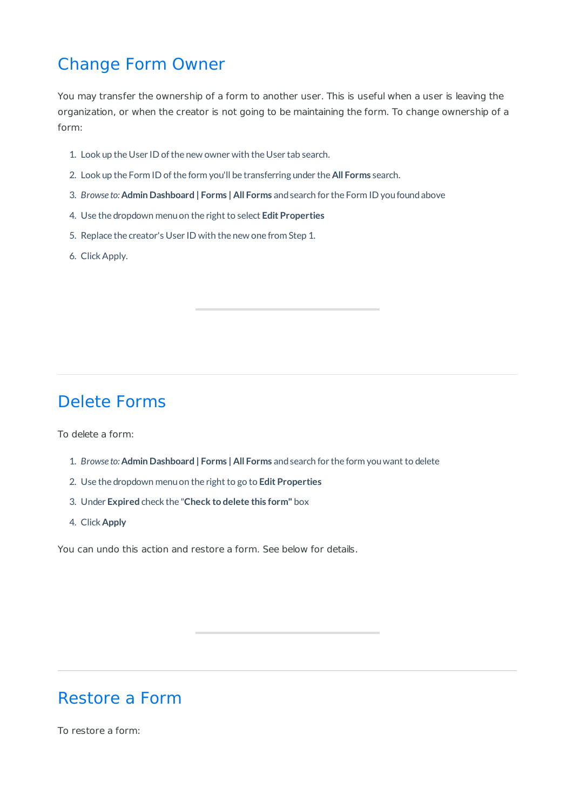### Change Form Owner

You may transfer the ownership of a form to another user. This is useful when a user is leaving the organization, or when the creator is not going to be maintaining the form. To change ownership of a form:

- 1. Look up the User ID of the new owner with the User tab search.
- 2. Look up the Form ID ofthe form you'll be transferring under the **All Forms** search.
- 3. *Browse to:* **Admin Dashboard | Forms | All Forms** andsearch for the Form ID youfoundabove
- 4. Use the dropdown menuon the right to select **Edit Properties**
- 5. Replace the creator's User ID with the new one from Step 1.
- 6. ClickApply.

### Delete Forms

To delete a form:

- 1. *Browse to:* **Admin Dashboard | Forms | All Forms** andsearch for the form youwant to delete
- 2. Use the dropdown menuon the right to go to **Edit Properties**
- 3. Under **Expired** check the "**Check to delete this form"** box
- 4. Click **Apply**

You can undo this action and restore a form. See below for details.

#### Restore a Form

To restore a form: